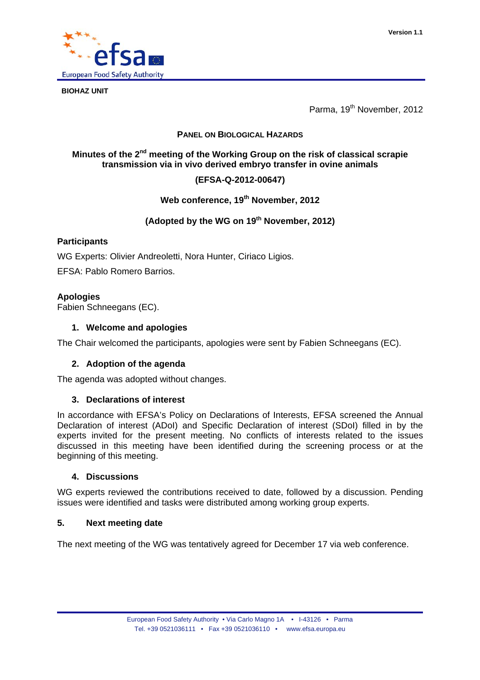

**BIOHAZ UNIT** 

Parma, 19<sup>th</sup> November, 2012

## **PANEL ON BIOLOGICAL HAZARDS**

# **Minutes of the 2nd meeting of the Working Group on the risk of classical scrapie transmission via in vivo derived embryo transfer in ovine animals**

# **(EFSA-Q-2012-00647)**

# **Web conference, 19th November, 2012**

# **(Adopted by the WG on 19th November, 2012)**

## **Participants**

WG Experts: Olivier Andreoletti, Nora Hunter, Ciriaco Ligios.

EFSA: Pablo Romero Barrios.

## **Apologies**

Fabien Schneegans (EC).

### **1. Welcome and apologies**

The Chair welcomed the participants, apologies were sent by Fabien Schneegans (EC).

## **2. Adoption of the agenda**

The agenda was adopted without changes.

#### **3. Declarations of interest**

In accordance with EFSA's Policy on Declarations of Interests, EFSA screened the Annual Declaration of interest (ADoI) and Specific Declaration of interest (SDoI) filled in by the experts invited for the present meeting. No conflicts of interests related to the issues discussed in this meeting have been identified during the screening process or at the beginning of this meeting.

### **4. Discussions**

WG experts reviewed the contributions received to date, followed by a discussion. Pending issues were identified and tasks were distributed among working group experts.

## **5. Next meeting date**

The next meeting of the WG was tentatively agreed for December 17 via web conference.